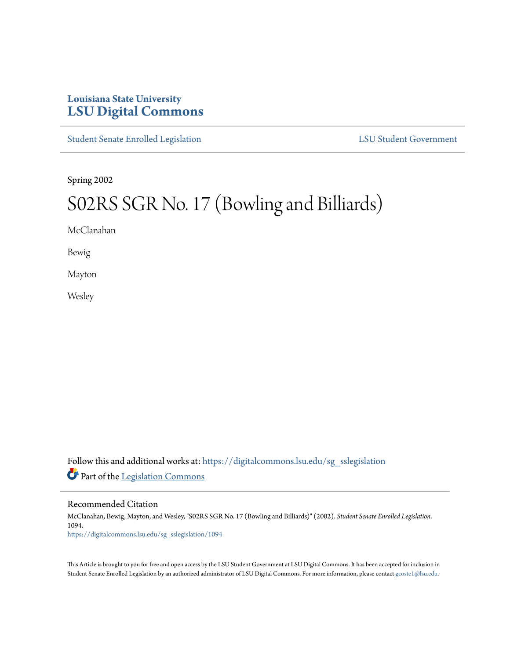## **Louisiana State University [LSU Digital Commons](https://digitalcommons.lsu.edu?utm_source=digitalcommons.lsu.edu%2Fsg_sslegislation%2F1094&utm_medium=PDF&utm_campaign=PDFCoverPages)**

[Student Senate Enrolled Legislation](https://digitalcommons.lsu.edu/sg_sslegislation?utm_source=digitalcommons.lsu.edu%2Fsg_sslegislation%2F1094&utm_medium=PDF&utm_campaign=PDFCoverPages) [LSU Student Government](https://digitalcommons.lsu.edu/sg?utm_source=digitalcommons.lsu.edu%2Fsg_sslegislation%2F1094&utm_medium=PDF&utm_campaign=PDFCoverPages)

Spring 2002

# S02RS SGR No. 17 (Bowling and Billiards)

McClanahan

Bewig

Mayton

Wesley

Follow this and additional works at: [https://digitalcommons.lsu.edu/sg\\_sslegislation](https://digitalcommons.lsu.edu/sg_sslegislation?utm_source=digitalcommons.lsu.edu%2Fsg_sslegislation%2F1094&utm_medium=PDF&utm_campaign=PDFCoverPages) Part of the [Legislation Commons](http://network.bepress.com/hgg/discipline/859?utm_source=digitalcommons.lsu.edu%2Fsg_sslegislation%2F1094&utm_medium=PDF&utm_campaign=PDFCoverPages)

Recommended Citation

McClanahan, Bewig, Mayton, and Wesley, "S02RS SGR No. 17 (Bowling and Billiards)" (2002). *Student Senate Enrolled Legislation*. 1094. [https://digitalcommons.lsu.edu/sg\\_sslegislation/1094](https://digitalcommons.lsu.edu/sg_sslegislation/1094?utm_source=digitalcommons.lsu.edu%2Fsg_sslegislation%2F1094&utm_medium=PDF&utm_campaign=PDFCoverPages)

This Article is brought to you for free and open access by the LSU Student Government at LSU Digital Commons. It has been accepted for inclusion in Student Senate Enrolled Legislation by an authorized administrator of LSU Digital Commons. For more information, please contact [gcoste1@lsu.edu.](mailto:gcoste1@lsu.edu)